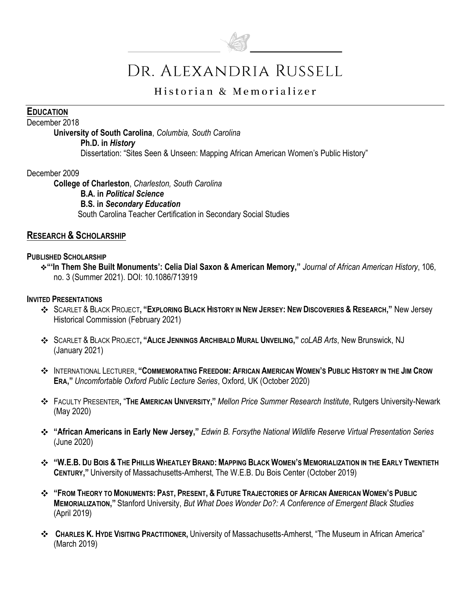

# DR. ALEXANDRIA RUSSELL

# Historian & Memorializer

#### **EDUCATION**

#### December 2018

**University of South Carolina**, *Columbia, South Carolina*

**Ph.D. in** *History*

Dissertation: "Sites Seen & Unseen: Mapping African American Women's Public History"

December 2009

**College of Charleston**, *Charleston, South Carolina*

**B.A. in** *Political Science*

#### **B.S. in** *Secondary Education*

South Carolina Teacher Certification in Secondary Social Studies

#### **RESEARCH & SCHOLARSHIP**

#### **PUBLISHED SCHOLARSHIP**

**"'In Them She Built Monuments': Celia Dial Saxon & American Memory,"** *Journal of African American History*, 106, no. 3 (Summer 2021). DOI: 10.1086/713919

#### **INVITED PRESENTATIONS**

- SCARLET & BLACK PROJECT, "EXPLORING BLACK HISTORY IN NEW JERSEY: NEW DISCOVERIES & RESEARCH," New Jersey Historical Commission (February 2021)
- SCARLET & BLACK PROJECT**, "ALICE JENNINGS ARCHIBALD MURAL UNVEILING,"** *coLAB Arts*, New Brunswick, NJ (January 2021)
- **\*** INTERNATIONAL LECTURER, "COMMEMORATING FREEDOM: AFRICAN AMERICAN WOMEN'S PUBLIC HISTORY IN THE JIM CROW **ERA,"** *Uncomfortable Oxford Public Lecture Series*, Oxford, UK (October 2020)
- FACULTY PRESENTER**,** "**THE AMERICAN UNIVERSITY,"** *Mellon Price Summer Research Institute*, Rutgers University-Newark (May 2020)
- **"African Americans in Early New Jersey,"** *Edwin B. Forsythe National Wildlife Reserve Virtual Presentation Series* (June 2020)
- "W.E.B. Du Bois & The Phillis Wheatley Brand: Mapping Black Women's Memorialization in the Early Twentieth **CENTURY,"** University of Massachusetts-Amherst, The W.E.B. Du Bois Center (October 2019)
- **\* "FROM THEORY TO MONUMENTS: PAST, PRESENT, & FUTURE TRAJECTORIES OF AFRICAN AMERICAN WOMEN'S PUBLIC MEMORIALIZATION,"** Stanford University, *But What Does Wonder Do?: A Conference of Emergent Black Studies*  (April 2019)
- **CHARLES K. HYDE VISITING PRACTITIONER,** University of Massachusetts-Amherst, "The Museum in African America" (March 2019)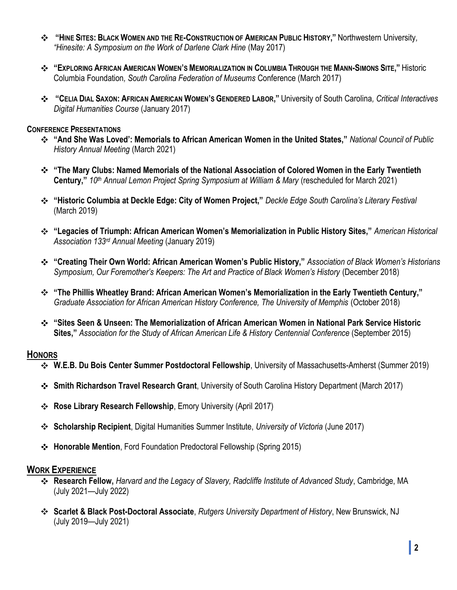- \* "HINE SITES: BLACK WOMEN AND THE RE-CONSTRUCTION OF AMERICAN PUBLIC HISTORY," Northwestern University, *"Hinesite: A Symposium on the Work of Darlene Clark Hine* (May 2017)
- \* "EXPLORING AFRICAN AMERICAN WOMEN'S MEMORIALIZATION IN COLUMBIA THROUGH THE MANN-SIMONS SITE," Historic Columbia Foundation*, South Carolina Federation of Museums* Conference (March 2017)
- \* "CELIA DIAL SAXON: AFRICAN AMERICAN WOMEN'S GENDERED LABOR," University of South Carolina, Critical Interactives *Digital Humanities Course* (January 2017)

#### **CONFERENCE PRESENTATIONS**

- **"And She Was Loved': Memorials to African American Women in the United States,"** *National Council of Public History Annual Meeting* (March 2021)
- **"The Mary Clubs: Named Memorials of the National Association of Colored Women in the Early Twentieth Century,"** *10th Annual Lemon Project Spring Symposium at William & Mary* (rescheduled for March 2021)
- **"Historic Columbia at Deckle Edge: City of Women Project,"** *Deckle Edge South Carolina's Literary Festival*  (March 2019)
- **"Legacies of Triumph: African American Women's Memorialization in Public History Sites,"** *American Historical Association 133rd Annual Meeting* (January 2019)
- **"Creating Their Own World: African American Women's Public History,"** *Association of Black Women's Historians Symposium, Our Foremother's Keepers: The Art and Practice of Black Women's History* (December 2018)
- **"The Phillis Wheatley Brand: African American Women's Memorialization in the Early Twentieth Century,"**  *Graduate Association for African American History Conference, The University of Memphis* (October 2018)
- **"Sites Seen & Unseen: The Memorialization of African American Women in National Park Service Historic Sites,"** *Association for the Study of African American Life & History Centennial Conference* (September 2015)

## **HONORS**

- **W.E.B. Du Bois Center Summer Postdoctoral Fellowship**, University of Massachusetts-Amherst (Summer 2019)
- **Smith Richardson Travel Research Grant**, University of South Carolina History Department (March 2017)
- **Rose Library Research Fellowship**, Emory University (April 2017)
- **Scholarship Recipient**, Digital Humanities Summer Institute, *University of Victoria* (June 2017)
- **Honorable Mention**, Ford Foundation Predoctoral Fellowship (Spring 2015)

#### **WORK EXPERIENCE**

- **Research Fellow,** *Harvard and the Legacy of Slavery, Radcliffe Institute of Advanced Study*, Cambridge, MA (July 2021—July 2022)
- **Scarlet & Black Post-Doctoral Associate**, *Rutgers University Department of History*, New Brunswick, NJ (July 2019—July 2021)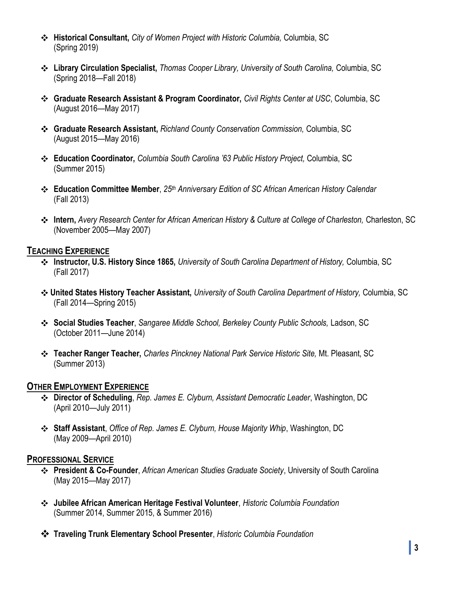- **Historical Consultant,** *City of Women Project with Historic Columbia,* Columbia, SC (Spring 2019)
- **Library Circulation Specialist,** *Thomas Cooper Library, University of South Carolina,* Columbia, SC (Spring 2018—Fall 2018)
- **Graduate Research Assistant & Program Coordinator,** *Civil Rights Center at USC*, Columbia, SC (August 2016—May 2017)
- **Graduate Research Assistant,** *Richland County Conservation Commission,* Columbia, SC (August 2015—May 2016)
- **Education Coordinator,** *Columbia South Carolina '63 Public History Project,* Columbia, SC (Summer 2015)
- **Education Committee Member**, *25th Anniversary Edition of SC African American History Calendar* (Fall 2013)
- **Intern,** *Avery Research Center for African American History & Culture at College of Charleston,* Charleston, SC (November 2005—May 2007)

# **TEACHING EXPERIENCE**

- **Instructor, U.S. History Since 1865,** *University of South Carolina Department of History,* Columbia, SC (Fall 2017)
- **United States History Teacher Assistant,** *University of South Carolina Department of History,* Columbia, SC (Fall 2014—Spring 2015)
- **Social Studies Teacher**, *Sangaree Middle School, Berkeley County Public Schools,* Ladson, SC (October 2011—June 2014)
- **Teacher Ranger Teacher,** *Charles Pinckney National Park Service Historic Site,* Mt. Pleasant, SC (Summer 2013)

# **OTHER EMPLOYMENT EXPERIENCE**

- **Director of Scheduling**, *Rep. James E. Clyburn, Assistant Democratic Leader*, Washington, DC (April 2010—July 2011)
- **Staff Assistant**, *Office of Rep. James E. Clyburn, House Majority Whip*, Washington, DC (May 2009—April 2010)

## **PROFESSIONAL SERVICE**

- **President & Co-Founder**, *African American Studies Graduate Society*, University of South Carolina (May 2015—May 2017)
- **Jubilee African American Heritage Festival Volunteer**, *Historic Columbia Foundation* (Summer 2014, Summer 2015, & Summer 2016)
- **Traveling Trunk Elementary School Presenter**, *Historic Columbia Foundation*